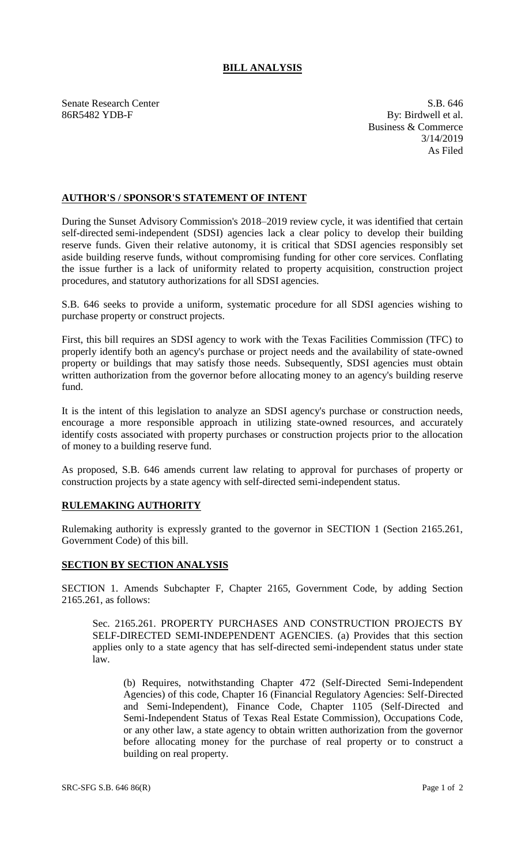## **BILL ANALYSIS**

Senate Research Center S.B. 646 86R5482 YDB-F By: Birdwell et al.

Business & Commerce 3/14/2019 As Filed

## **AUTHOR'S / SPONSOR'S STATEMENT OF INTENT**

During the Sunset Advisory Commission's 2018–2019 review cycle, it was identified that certain self-directed semi-independent (SDSI) agencies lack a clear policy to develop their building reserve funds. Given their relative autonomy, it is critical that SDSI agencies responsibly set aside building reserve funds, without compromising funding for other core services. Conflating the issue further is a lack of uniformity related to property acquisition, construction project procedures, and statutory authorizations for all SDSI agencies.

S.B. 646 seeks to provide a uniform, systematic procedure for all SDSI agencies wishing to purchase property or construct projects.

First, this bill requires an SDSI agency to work with the Texas Facilities Commission (TFC) to properly identify both an agency's purchase or project needs and the availability of state-owned property or buildings that may satisfy those needs. Subsequently, SDSI agencies must obtain written authorization from the governor before allocating money to an agency's building reserve fund.

It is the intent of this legislation to analyze an SDSI agency's purchase or construction needs, encourage a more responsible approach in utilizing state-owned resources, and accurately identify costs associated with property purchases or construction projects prior to the allocation of money to a building reserve fund.

As proposed, S.B. 646 amends current law relating to approval for purchases of property or construction projects by a state agency with self-directed semi-independent status.

## **RULEMAKING AUTHORITY**

Rulemaking authority is expressly granted to the governor in SECTION 1 (Section 2165.261, Government Code) of this bill.

## **SECTION BY SECTION ANALYSIS**

SECTION 1. Amends Subchapter F, Chapter 2165, Government Code, by adding Section 2165.261, as follows:

Sec. 2165.261. PROPERTY PURCHASES AND CONSTRUCTION PROJECTS BY SELF-DIRECTED SEMI-INDEPENDENT AGENCIES. (a) Provides that this section applies only to a state agency that has self-directed semi-independent status under state law.

(b) Requires, notwithstanding Chapter 472 (Self-Directed Semi-Independent Agencies) of this code, Chapter 16 (Financial Regulatory Agencies: Self-Directed and Semi-Independent), Finance Code, Chapter 1105 (Self-Directed and Semi-Independent Status of Texas Real Estate Commission), Occupations Code, or any other law, a state agency to obtain written authorization from the governor before allocating money for the purchase of real property or to construct a building on real property.